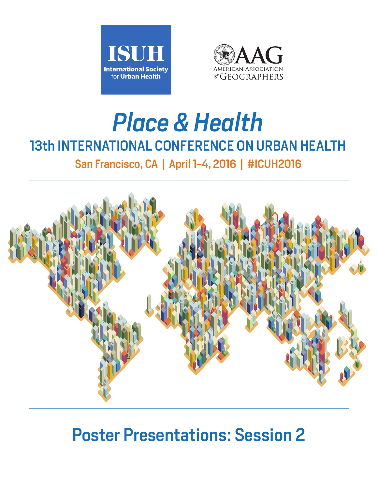



# *Place & Health* 13th INTERNATIONAL CONFERENCE ON URBAN HEALTH

San Francisco, CA | April 1-4, 2016 | #ICUH2016



# Poster Presentations: Session 2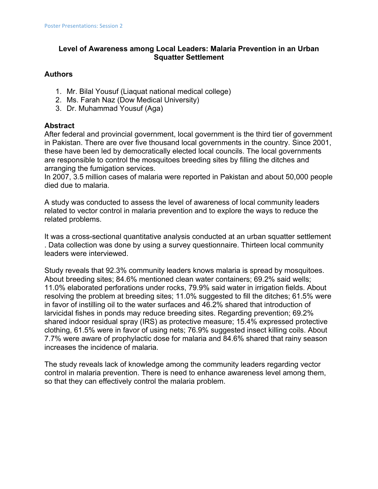# **Level of Awareness among Local Leaders: Malaria Prevention in an Urban Squatter Settlement**

#### **Authors**

- 1. Mr. Bilal Yousuf (Liaquat national medical college)
- 2. Ms. Farah Naz (Dow Medical University)
- 3. Dr. Muhammad Yousuf (Aga)

# **Abstract**

After federal and provincial government, local government is the third tier of government in Pakistan. There are over five thousand local governments in the country. Since 2001, these have been led by democratically elected local councils. The local governments are responsible to control the mosquitoes breeding sites by filling the ditches and arranging the fumigation services.

In 2007, 3.5 million cases of malaria were reported in Pakistan and about 50,000 people died due to malaria.

A study was conducted to assess the level of awareness of local community leaders related to vector control in malaria prevention and to explore the ways to reduce the related problems.

It was a cross-sectional quantitative analysis conducted at an urban squatter settlement . Data collection was done by using a survey questionnaire. Thirteen local community leaders were interviewed.

Study reveals that 92.3% community leaders knows malaria is spread by mosquitoes. About breeding sites; 84.6% mentioned clean water containers; 69.2% said wells; 11.0% elaborated perforations under rocks, 79.9% said water in irrigation fields. About resolving the problem at breeding sites; 11.0% suggested to fill the ditches; 61.5% were in favor of instilling oil to the water surfaces and 46.2% shared that introduction of larvicidal fishes in ponds may reduce breeding sites. Regarding prevention; 69.2% shared indoor residual spray (IRS) as protective measure; 15.4% expressed protective clothing, 61.5% were in favor of using nets; 76.9% suggested insect killing coils. About 7.7% were aware of prophylactic dose for malaria and 84.6% shared that rainy season increases the incidence of malaria.

The study reveals lack of knowledge among the community leaders regarding vector control in malaria prevention. There is need to enhance awareness level among them, so that they can effectively control the malaria problem.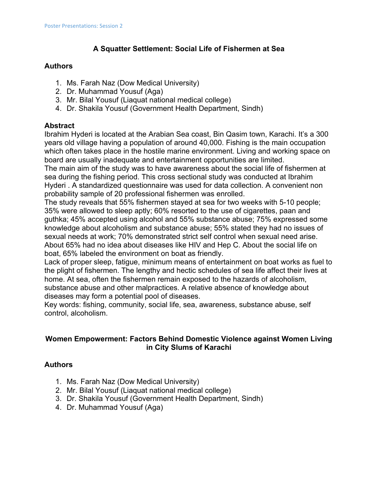# **A Squatter Settlement: Social Life of Fishermen at Sea**

# **Authors**

- 1. Ms. Farah Naz (Dow Medical University)
- 2. Dr. Muhammad Yousuf (Aga)
- 3. Mr. Bilal Yousuf (Liaquat national medical college)
- 4. Dr. Shakila Yousuf (Government Health Department, Sindh)

# **Abstract**

Ibrahim Hyderi is located at the Arabian Sea coast, Bin Qasim town, Karachi. It's a 300 years old village having a population of around 40,000. Fishing is the main occupation which often takes place in the hostile marine environment. Living and working space on board are usually inadequate and entertainment opportunities are limited.

The main aim of the study was to have awareness about the social life of fishermen at sea during the fishing period. This cross sectional study was conducted at Ibrahim Hyderi . A standardized questionnaire was used for data collection. A convenient non probability sample of 20 professional fishermen was enrolled.

The study reveals that 55% fishermen stayed at sea for two weeks with 5-10 people; 35% were allowed to sleep aptly; 60% resorted to the use of cigarettes, paan and guthka; 45% accepted using alcohol and 55% substance abuse; 75% expressed some knowledge about alcoholism and substance abuse; 55% stated they had no issues of sexual needs at work; 70% demonstrated strict self control when sexual need arise. About 65% had no idea about diseases like HIV and Hep C. About the social life on boat, 65% labeled the environment on boat as friendly.

Lack of proper sleep, fatigue, minimum means of entertainment on boat works as fuel to the plight of fishermen. The lengthy and hectic schedules of sea life affect their lives at home. At sea, often the fishermen remain exposed to the hazards of alcoholism, substance abuse and other malpractices. A relative absence of knowledge about diseases may form a potential pool of diseases.

Key words: fishing, community, social life, sea, awareness, substance abuse, self control, alcoholism.

# **Women Empowerment: Factors Behind Domestic Violence against Women Living in City Slums of Karachi**

# **Authors**

- 1. Ms. Farah Naz (Dow Medical University)
- 2. Mr. Bilal Yousuf (Liaquat national medical college)
- 3. Dr. Shakila Yousuf (Government Health Department, Sindh)
- 4. Dr. Muhammad Yousuf (Aga)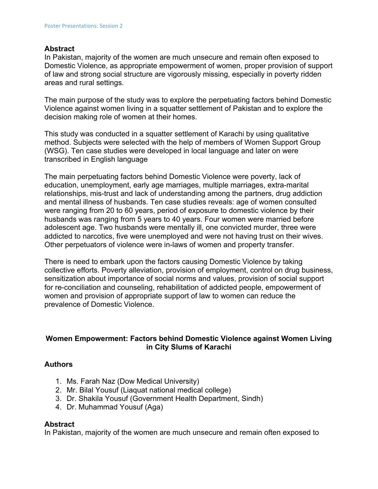#### **Abstract**

In Pakistan, majority of the women are much unsecure and remain often exposed to Domestic Violence, as appropriate empowerment of women, proper provision of support of law and strong social structure are vigorously missing, especially in poverty ridden areas and rural settings.

The main purpose of the study was to explore the perpetuating factors behind Domestic Violence against women living in a squatter settlement of Pakistan and to explore the decision making role of women at their homes.

This study was conducted in a squatter settlement of Karachi by using qualitative method. Subjects were selected with the help of members of Women Support Group (WSG). Ten case studies were developed in local language and later on were transcribed in English language

The main perpetuating factors behind Domestic Violence were poverty, lack of education, unemployment, early age marriages, multiple marriages, extra-marital relationships, mis-trust and lack of understanding among the partners, drug addiction and mental illness of husbands. Ten case studies reveals: age of women consulted were ranging from 20 to 60 years, period of exposure to domestic violence by their husbands was ranging from 5 years to 40 years. Four women were married before adolescent age. Two husbands were mentally ill, one convicted murder, three were addicted to narcotics, five were unemployed and were not having trust on their wives. Other perpetuators of violence were in-laws of women and property transfer.

There is need to embark upon the factors causing Domestic Violence by taking collective efforts. Poverty alleviation, provision of employment, control on drug business, sensitization about importance of social norms and values, provision of social support for re-conciliation and counseling, rehabilitation of addicted people, empowerment of women and provision of appropriate support of law to women can reduce the prevalence of Domestic Violence.

# **Women Empowerment: Factors behind Domestic Violence against Women Living in City Slums of Karachi**

# **Authors**

- 1. Ms. Farah Naz (Dow Medical University)
- 2. Mr. Bilal Yousuf (Liaquat national medical college)
- 3. Dr. Shakila Yousuf (Government Health Department, Sindh)
- 4. Dr. Muhammad Yousuf (Aga)

#### **Abstract**

In Pakistan, majority of the women are much unsecure and remain often exposed to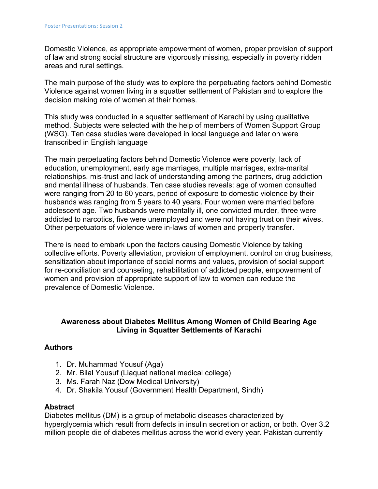Domestic Violence, as appropriate empowerment of women, proper provision of support of law and strong social structure are vigorously missing, especially in poverty ridden areas and rural settings.

The main purpose of the study was to explore the perpetuating factors behind Domestic Violence against women living in a squatter settlement of Pakistan and to explore the decision making role of women at their homes.

This study was conducted in a squatter settlement of Karachi by using qualitative method. Subjects were selected with the help of members of Women Support Group (WSG). Ten case studies were developed in local language and later on were transcribed in English language

The main perpetuating factors behind Domestic Violence were poverty, lack of education, unemployment, early age marriages, multiple marriages, extra-marital relationships, mis-trust and lack of understanding among the partners, drug addiction and mental illness of husbands. Ten case studies reveals: age of women consulted were ranging from 20 to 60 years, period of exposure to domestic violence by their husbands was ranging from 5 years to 40 years. Four women were married before adolescent age. Two husbands were mentally ill, one convicted murder, three were addicted to narcotics, five were unemployed and were not having trust on their wives. Other perpetuators of violence were in-laws of women and property transfer.

There is need to embark upon the factors causing Domestic Violence by taking collective efforts. Poverty alleviation, provision of employment, control on drug business, sensitization about importance of social norms and values, provision of social support for re-conciliation and counseling, rehabilitation of addicted people, empowerment of women and provision of appropriate support of law to women can reduce the prevalence of Domestic Violence.

#### **Awareness about Diabetes Mellitus Among Women of Child Bearing Age Living in Squatter Settlements of Karachi**

# **Authors**

- 1. Dr. Muhammad Yousuf (Aga)
- 2. Mr. Bilal Yousuf (Liaquat national medical college)
- 3. Ms. Farah Naz (Dow Medical University)
- 4. Dr. Shakila Yousuf (Government Health Department, Sindh)

# **Abstract**

Diabetes mellitus (DM) is a group of metabolic diseases characterized by hyperglycemia which result from defects in insulin secretion or action, or both. Over 3.2 million people die of diabetes mellitus across the world every year. Pakistan currently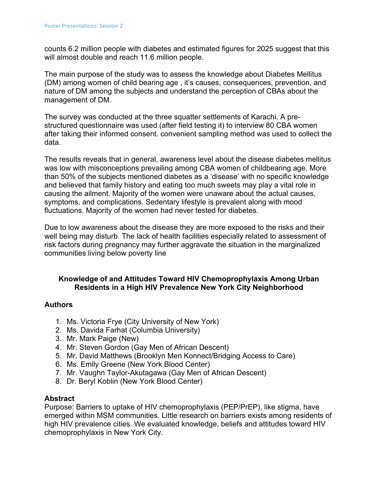counts 6.2 million people with diabetes and estimated figures for 2025 suggest that this will almost double and reach 11.6 million people.

The main purpose of the study was to assess the knowledge about Diabetes Mellitus (DM) among women of child bearing age , it's causes, consequences, prevention, and nature of DM among the subjects and understand the perception of CBAs about the management of DM.

The survey was conducted at the three squatter settlements of Karachi. A prestructured questionnaire was used (after field testing it) to interview 80 CBA women after taking their informed consent. convenient sampling method was used to collect the data.

The results reveals that in general, awareness level about the disease diabetes mellitus was low with misconceptions prevailing among CBA women of childbearing age. More than 50% of the subjects mentioned diabetes as a 'disease' with no specific knowledge and believed that family history and eating too much sweets may play a vital role in causing the ailment. Majority of the women were unaware about the actual causes, symptoms, and complications. Sedentary lifestyle is prevalent along with mood fluctuations. Majority of the women had never tested for diabetes.

Due to low awareness about the disease they are more exposed to the risks and their well being may disturb. The lack of health facilities especially related to assessment of risk factors during pregnancy may further aggravate the situation in the marginalized communities living below poverty line

# **Knowledge of and Attitudes Toward HIV Chemoprophylaxis Among Urban Residents in a High HIV Prevalence New York City Neighborhood**

# **Authors**

- 1. Ms. Victoria Frye (City University of New York)
- 2. Ms. Davida Farhat (Columbia University)
- 3. Mr. Mark Paige (New)
- 4. Mr. Steven Gordon (Gay Men of African Descent)
- 5. Mr. David Matthews (Brooklyn Men Konnect/Bridging Access to Care)
- 6. Ms. Emily Greene (New York Blood Center)
- 7. Mr. Vaughn Taylor-Akutagawa (Gay Men of African Descent)
- 8. Dr. Beryl Koblin (New York Blood Center)

#### **Abstract**

Purpose: Barriers to uptake of HIV chemoprophylaxis (PEP/PrEP), like stigma, have emerged within MSM communities. Little research on barriers exists among residents of high HIV prevalence cities. We evaluated knowledge, beliefs and attitudes toward HIV chemoprophylaxis in New York City.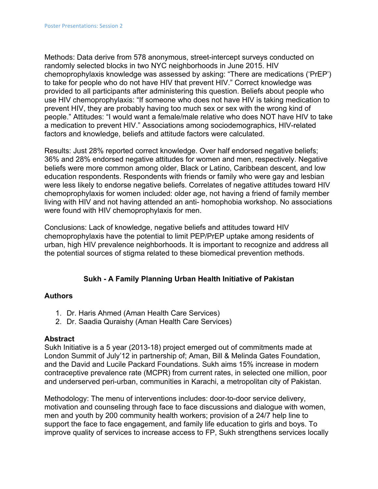Methods: Data derive from 578 anonymous, street-intercept surveys conducted on randomly selected blocks in two NYC neighborhoods in June 2015. HIV chemoprophylaxis knowledge was assessed by asking: "There are medications ('PrEP') to take for people who do not have HIV that prevent HIV." Correct knowledge was provided to all participants after administering this question. Beliefs about people who use HIV chemoprophylaxis: "If someone who does not have HIV is taking medication to prevent HIV, they are probably having too much sex or sex with the wrong kind of people." Attitudes: "I would want a female/male relative who does NOT have HIV to take a medication to prevent HIV." Associations among sociodemographics, HIV-related factors and knowledge, beliefs and attitude factors were calculated.

Results: Just 28% reported correct knowledge. Over half endorsed negative beliefs; 36% and 28% endorsed negative attitudes for women and men, respectively. Negative beliefs were more common among older, Black or Latino, Caribbean descent, and low education respondents. Respondents with friends or family who were gay and lesbian were less likely to endorse negative beliefs. Correlates of negative attitudes toward HIV chemoprophylaxis for women included: older age, not having a friend of family member living with HIV and not having attended an anti- homophobia workshop. No associations were found with HIV chemoprophylaxis for men.

Conclusions: Lack of knowledge, negative beliefs and attitudes toward HIV chemoprophylaxis have the potential to limit PEP/PrEP uptake among residents of urban, high HIV prevalence neighborhoods. It is important to recognize and address all the potential sources of stigma related to these biomedical prevention methods.

# **Sukh - A Family Planning Urban Health Initiative of Pakistan**

# **Authors**

- 1. Dr. Haris Ahmed (Aman Health Care Services)
- 2. Dr. Saadia Quraishy (Aman Health Care Services)

#### **Abstract**

Sukh Initiative is a 5 year (2013-18) project emerged out of commitments made at London Summit of July'12 in partnership of; Aman, Bill & Melinda Gates Foundation, and the David and Lucile Packard Foundations. Sukh aims 15% increase in modern contraceptive prevalence rate (MCPR) from current rates, in selected one million, poor and underserved peri-urban, communities in Karachi, a metropolitan city of Pakistan.

Methodology: The menu of interventions includes: door-to-door service delivery, motivation and counseling through face to face discussions and dialogue with women, men and youth by 200 community health workers; provision of a 24/7 help line to support the face to face engagement, and family life education to girls and boys. To improve quality of services to increase access to FP, Sukh strengthens services locally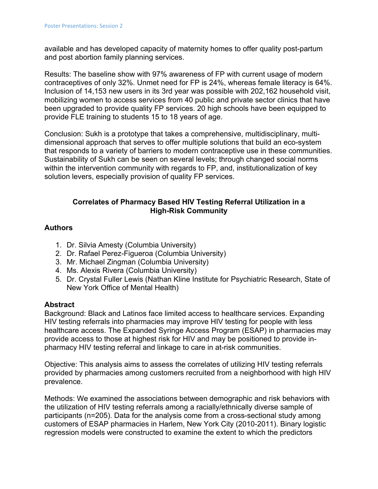available and has developed capacity of maternity homes to offer quality post-partum and post abortion family planning services.

Results: The baseline show with 97% awareness of FP with current usage of modern contraceptives of only 32%. Unmet need for FP is 24%, whereas female literacy is 64%. Inclusion of 14,153 new users in its 3rd year was possible with 202,162 household visit, mobilizing women to access services from 40 public and private sector clinics that have been upgraded to provide quality FP services. 20 high schools have been equipped to provide FLE training to students 15 to 18 years of age.

Conclusion: Sukh is a prototype that takes a comprehensive, multidisciplinary, multidimensional approach that serves to offer multiple solutions that build an eco-system that responds to a variety of barriers to modern contraceptive use in these communities. Sustainability of Sukh can be seen on several levels; through changed social norms within the intervention community with regards to FP, and, institutionalization of key solution levers, especially provision of quality FP services.

# **Correlates of Pharmacy Based HIV Testing Referral Utilization in a High-Risk Community**

# **Authors**

- 1. Dr. Silvia Amesty (Columbia University)
- 2. Dr. Rafael Perez-Figueroa (Columbia University)
- 3. Mr. Michael Zingman (Columbia University)
- 4. Ms. Alexis Rivera (Columbia University)
- 5. Dr. Crystal Fuller Lewis (Nathan Kline Institute for Psychiatric Research, State of New York Office of Mental Health)

# **Abstract**

Background: Black and Latinos face limited access to healthcare services. Expanding HIV testing referrals into pharmacies may improve HIV testing for people with less healthcare access. The Expanded Syringe Access Program (ESAP) in pharmacies may provide access to those at highest risk for HIV and may be positioned to provide inpharmacy HIV testing referral and linkage to care in at-risk communities.

Objective: This analysis aims to assess the correlates of utilizing HIV testing referrals provided by pharmacies among customers recruited from a neighborhood with high HIV prevalence.

Methods: We examined the associations between demographic and risk behaviors with the utilization of HIV testing referrals among a racially/ethnically diverse sample of participants (n=205). Data for the analysis come from a cross-sectional study among customers of ESAP pharmacies in Harlem, New York City (2010-2011). Binary logistic regression models were constructed to examine the extent to which the predictors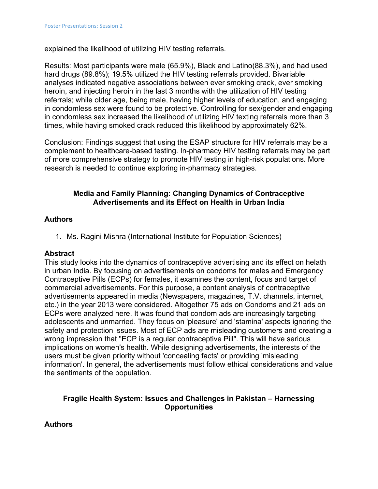explained the likelihood of utilizing HIV testing referrals.

Results: Most participants were male (65.9%), Black and Latino(88.3%), and had used hard drugs (89.8%); 19.5% utilized the HIV testing referrals provided. Bivariable analyses indicated negative associations between ever smoking crack, ever smoking heroin, and injecting heroin in the last 3 months with the utilization of HIV testing referrals; while older age, being male, having higher levels of education, and engaging in condomless sex were found to be protective. Controlling for sex/gender and engaging in condomless sex increased the likelihood of utilizing HIV texting referrals more than 3 times, while having smoked crack reduced this likelihood by approximately 62%.

Conclusion: Findings suggest that using the ESAP structure for HIV referrals may be a complement to healthcare-based testing. In-pharmacy HIV testing referrals may be part of more comprehensive strategy to promote HIV testing in high-risk populations. More research is needed to continue exploring in-pharmacy strategies.

#### **Media and Family Planning: Changing Dynamics of Contraceptive Advertisements and its Effect on Health in Urban India**

#### **Authors**

1. Ms. Ragini Mishra (International Institute for Population Sciences)

#### **Abstract**

This study looks into the dynamics of contraceptive advertising and its effect on helath in urban India. By focusing on advertisements on condoms for males and Emergency Contraceptive Pills (ECPs) for females, it examines the content, focus and target of commercial advertisements. For this purpose, a content analysis of contraceptive advertisements appeared in media (Newspapers, magazines, T.V. channels, internet, etc.) in the year 2013 were considered. Altogether 75 ads on Condoms and 21 ads on ECPs were analyzed here. It was found that condom ads are increasingly targeting adolescents and unmarried. They focus on 'pleasure' and 'stamina' aspects ignoring the safety and protection issues. Most of ECP ads are misleading customers and creating a wrong impression that "ECP is a regular contraceptive Pill". This will have serious implications on women's health. While designing advertisements, the interests of the users must be given priority without 'concealing facts' or providing 'misleading information'. In general, the advertisements must follow ethical considerations and value the sentiments of the population.

# **Fragile Health System: Issues and Challenges in Pakistan – Harnessing Opportunities**

**Authors**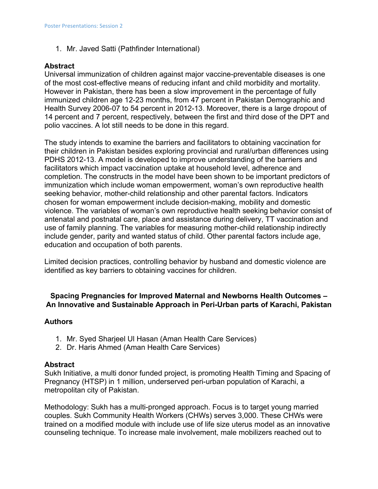1. Mr. Javed Satti (Pathfinder International)

# **Abstract**

Universal immunization of children against major vaccine-preventable diseases is one of the most cost-effective means of reducing infant and child morbidity and mortality. However in Pakistan, there has been a slow improvement in the percentage of fully immunized children age 12-23 months, from 47 percent in Pakistan Demographic and Health Survey 2006-07 to 54 percent in 2012-13. Moreover, there is a large dropout of 14 percent and 7 percent, respectively, between the first and third dose of the DPT and polio vaccines. A lot still needs to be done in this regard.

The study intends to examine the barriers and facilitators to obtaining vaccination for their children in Pakistan besides exploring provincial and rural/urban differences using PDHS 2012-13. A model is developed to improve understanding of the barriers and facilitators which impact vaccination uptake at household level, adherence and completion. The constructs in the model have been shown to be important predictors of immunization which include woman empowerment, woman's own reproductive health seeking behavior, mother-child relationship and other parental factors. Indicators chosen for woman empowerment include decision-making, mobility and domestic violence. The variables of woman's own reproductive health seeking behavior consist of antenatal and postnatal care, place and assistance during delivery, TT vaccination and use of family planning. The variables for measuring mother-child relationship indirectly include gender, parity and wanted status of child. Other parental factors include age, education and occupation of both parents.

Limited decision practices, controlling behavior by husband and domestic violence are identified as key barriers to obtaining vaccines for children.

#### **Spacing Pregnancies for Improved Maternal and Newborns Health Outcomes – An Innovative and Sustainable Approach in Peri-Urban parts of Karachi, Pakistan**

#### **Authors**

- 1. Mr. Syed Sharjeel Ul Hasan (Aman Health Care Services)
- 2. Dr. Haris Ahmed (Aman Health Care Services)

#### **Abstract**

Sukh Initiative, a multi donor funded project, is promoting Health Timing and Spacing of Pregnancy (HTSP) in 1 million, underserved peri-urban population of Karachi, a metropolitan city of Pakistan.

Methodology: Sukh has a multi-pronged approach. Focus is to target young married couples. Sukh Community Health Workers (CHWs) serves 3,000. These CHWs were trained on a modified module with include use of life size uterus model as an innovative counseling technique. To increase male involvement, male mobilizers reached out to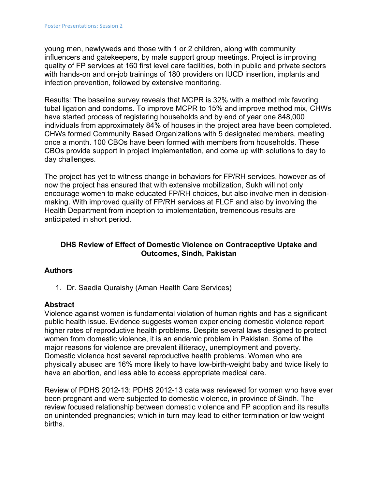young men, newlyweds and those with 1 or 2 children, along with community influencers and gatekeepers, by male support group meetings. Project is improving quality of FP services at 160 first level care facilities, both in public and private sectors with hands-on and on-job trainings of 180 providers on IUCD insertion, implants and infection prevention, followed by extensive monitoring.

Results: The baseline survey reveals that MCPR is 32% with a method mix favoring tubal ligation and condoms. To improve MCPR to 15% and improve method mix, CHWs have started process of registering households and by end of year one 848,000 individuals from approximately 84% of houses in the project area have been completed. CHWs formed Community Based Organizations with 5 designated members, meeting once a month. 100 CBOs have been formed with members from households. These CBOs provide support in project implementation, and come up with solutions to day to day challenges.

The project has yet to witness change in behaviors for FP/RH services, however as of now the project has ensured that with extensive mobilization, Sukh will not only encourage women to make educated FP/RH choices, but also involve men in decisionmaking. With improved quality of FP/RH services at FLCF and also by involving the Health Department from inception to implementation, tremendous results are anticipated in short period.

# **DHS Review of Effect of Domestic Violence on Contraceptive Uptake and Outcomes, Sindh, Pakistan**

# **Authors**

1. Dr. Saadia Quraishy (Aman Health Care Services)

# **Abstract**

Violence against women is fundamental violation of human rights and has a significant public health issue. Evidence suggests women experiencing domestic violence report higher rates of reproductive health problems. Despite several laws designed to protect women from domestic violence, it is an endemic problem in Pakistan. Some of the major reasons for violence are prevalent illiteracy, unemployment and poverty. Domestic violence host several reproductive health problems. Women who are physically abused are 16% more likely to have low-birth-weight baby and twice likely to have an abortion, and less able to access appropriate medical care.

Review of PDHS 2012-13: PDHS 2012-13 data was reviewed for women who have ever been pregnant and were subjected to domestic violence, in province of Sindh. The review focused relationship between domestic violence and FP adoption and its results on unintended pregnancies; which in turn may lead to either termination or low weight births.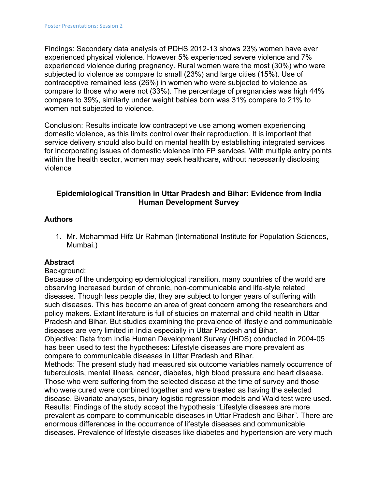Findings: Secondary data analysis of PDHS 2012-13 shows 23% women have ever experienced physical violence. However 5% experienced severe violence and 7% experienced violence during pregnancy. Rural women were the most (30%) who were subjected to violence as compare to small (23%) and large cities (15%). Use of contraceptive remained less (26%) in women who were subjected to violence as compare to those who were not (33%). The percentage of pregnancies was high 44% compare to 39%, similarly under weight babies born was 31% compare to 21% to women not subjected to violence.

Conclusion: Results indicate low contraceptive use among women experiencing domestic violence, as this limits control over their reproduction. It is important that service delivery should also build on mental health by establishing integrated services for incorporating issues of domestic violence into FP services. With multiple entry points within the health sector, women may seek healthcare, without necessarily disclosing violence

# **Epidemiological Transition in Uttar Pradesh and Bihar: Evidence from India Human Development Survey**

# **Authors**

1. Mr. Mohammad Hifz Ur Rahman (International Institute for Population Sciences, Mumbai.)

# **Abstract**

# Background:

Because of the undergoing epidemiological transition, many countries of the world are observing increased burden of chronic, non-communicable and life-style related diseases. Though less people die, they are subject to longer years of suffering with such diseases. This has become an area of great concern among the researchers and policy makers. Extant literature is full of studies on maternal and child health in Uttar Pradesh and Bihar. But studies examining the prevalence of lifestyle and communicable diseases are very limited in India especially in Uttar Pradesh and Bihar.

Objective: Data from India Human Development Survey (IHDS) conducted in 2004-05 has been used to test the hypotheses: Lifestyle diseases are more prevalent as compare to communicable diseases in Uttar Pradesh and Bihar.

Methods: The present study had measured six outcome variables namely occurrence of tuberculosis, mental illness, cancer, diabetes, high blood pressure and heart disease. Those who were suffering from the selected disease at the time of survey and those who were cured were combined together and were treated as having the selected disease. Bivariate analyses, binary logistic regression models and Wald test were used. Results: Findings of the study accept the hypothesis "Lifestyle diseases are more prevalent as compare to communicable diseases in Uttar Pradesh and Bihar". There are enormous differences in the occurrence of lifestyle diseases and communicable diseases. Prevalence of lifestyle diseases like diabetes and hypertension are very much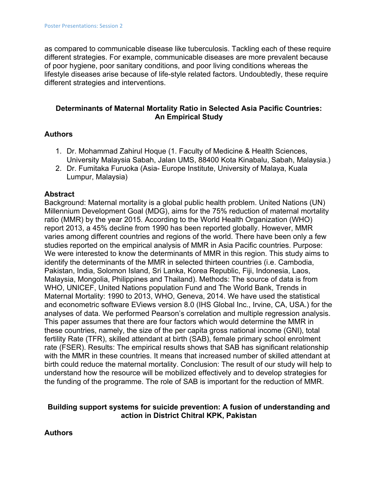as compared to communicable disease like tuberculosis. Tackling each of these require different strategies. For example, communicable diseases are more prevalent because of poor hygiene, poor sanitary conditions, and poor living conditions whereas the lifestyle diseases arise because of life-style related factors. Undoubtedly, these require different strategies and interventions.

# **Determinants of Maternal Mortality Ratio in Selected Asia Pacific Countries: An Empirical Study**

# **Authors**

- 1. Dr. Mohammad Zahirul Hoque (1. Faculty of Medicine & Health Sciences, University Malaysia Sabah, Jalan UMS, 88400 Kota Kinabalu, Sabah, Malaysia.)
- 2. Dr. Fumitaka Furuoka (Asia- Europe Institute, University of Malaya, Kuala Lumpur, Malaysia)

# **Abstract**

Background: Maternal mortality is a global public health problem. United Nations (UN) Millennium Development Goal (MDG), aims for the 75% reduction of maternal mortality ratio (MMR) by the year 2015. According to the World Health Organization (WHO) report 2013, a 45% decline from 1990 has been reported globally. However, MMR varies among different countries and regions of the world. There have been only a few studies reported on the empirical analysis of MMR in Asia Pacific countries. Purpose: We were interested to know the determinants of MMR in this region. This study aims to identify the determinants of the MMR in selected thirteen countries (i.e. Cambodia, Pakistan, India, Solomon Island, Sri Lanka, Korea Republic, Fiji, Indonesia, Laos, Malaysia, Mongolia, Philippines and Thailand). Methods: The source of data is from WHO, UNICEF, United Nations population Fund and The World Bank, Trends in Maternal Mortality: 1990 to 2013, WHO, Geneva, 2014. We have used the statistical and econometric software EViews version 8.0 (IHS Global Inc., Irvine, CA, USA.) for the analyses of data. We performed Pearson's correlation and multiple regression analysis. This paper assumes that there are four factors which would determine the MMR in these countries, namely, the size of the per capita gross national income (GNI), total fertility Rate (TFR), skilled attendant at birth (SAB), female primary school enrolment rate (FSER). Results: The empirical results shows that SAB has significant relationship with the MMR in these countries. It means that increased number of skilled attendant at birth could reduce the maternal mortality. Conclusion: The result of our study will help to understand how the resource will be mobilized effectively and to develop strategies for the funding of the programme. The role of SAB is important for the reduction of MMR.

# **Building support systems for suicide prevention: A fusion of understanding and action in District Chitral KPK, Pakistan**

**Authors**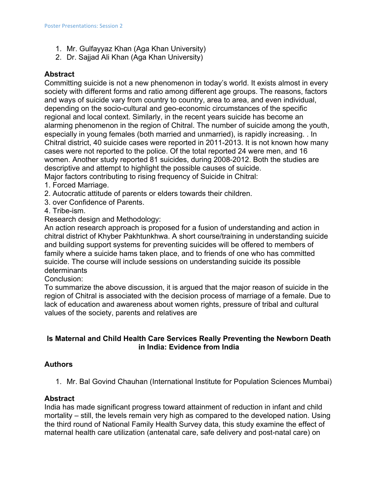- 1. Mr. Gulfayyaz Khan (Aga Khan University)
- 2. Dr. Sajjad Ali Khan (Aga Khan University)

# **Abstract**

Committing suicide is not a new phenomenon in today's world. It exists almost in every society with different forms and ratio among different age groups. The reasons, factors and ways of suicide vary from country to country, area to area, and even individual, depending on the socio-cultural and geo-economic circumstances of the specific regional and local context. Similarly, in the recent years suicide has become an alarming phenomenon in the region of Chitral. The number of suicide among the youth, especially in young females (both married and unmarried), is rapidly increasing. . In Chitral district, 40 suicide cases were reported in 2011-2013. It is not known how many cases were not reported to the police. Of the total reported 24 were men, and 16 women. Another study reported 81 suicides, during 2008-2012. Both the studies are descriptive and attempt to highlight the possible causes of suicide.

Major factors contributing to rising frequency of Suicide in Chitral:

- 1. Forced Marriage.
- 2. Autocratic attitude of parents or elders towards their children.
- 3. over Confidence of Parents.
- 4. Tribe-ism.

Research design and Methodology:

An action research approach is proposed for a fusion of understanding and action in chitral district of Khyber Pakhtunkhwa. A short course/training in understanding suicide and building support systems for preventing suicides will be offered to members of family where a suicide hams taken place, and to friends of one who has committed suicide. The course will include sessions on understanding suicide its possible determinants

Conclusion:

To summarize the above discussion, it is argued that the major reason of suicide in the region of Chitral is associated with the decision process of marriage of a female. Due to lack of education and awareness about women rights, pressure of tribal and cultural values of the society, parents and relatives are

# **Is Maternal and Child Health Care Services Really Preventing the Newborn Death in India: Evidence from India**

# **Authors**

1. Mr. Bal Govind Chauhan (International Institute for Population Sciences Mumbai)

# **Abstract**

India has made significant progress toward attainment of reduction in infant and child mortality – still, the levels remain very high as compared to the developed nation. Using the third round of National Family Health Survey data, this study examine the effect of maternal health care utilization (antenatal care, safe delivery and post-natal care) on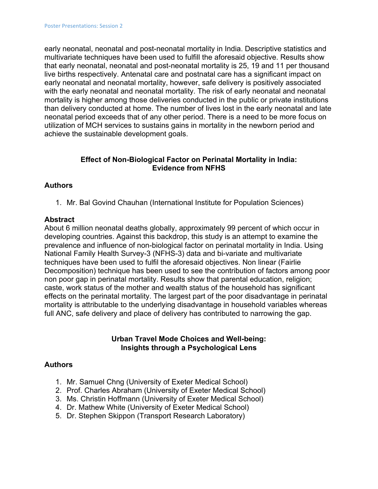early neonatal, neonatal and post-neonatal mortality in India. Descriptive statistics and multivariate techniques have been used to fulfill the aforesaid objective. Results show that early neonatal, neonatal and post-neonatal mortality is 25, 19 and 11 per thousand live births respectively. Antenatal care and postnatal care has a significant impact on early neonatal and neonatal mortality, however, safe delivery is positively associated with the early neonatal and neonatal mortality. The risk of early neonatal and neonatal mortality is higher among those deliveries conducted in the public or private institutions than delivery conducted at home. The number of lives lost in the early neonatal and late neonatal period exceeds that of any other period. There is a need to be more focus on utilization of MCH services to sustains gains in mortality in the newborn period and achieve the sustainable development goals.

# **Effect of Non-Biological Factor on Perinatal Mortality in India: Evidence from NFHS**

# **Authors**

1. Mr. Bal Govind Chauhan (International Institute for Population Sciences)

#### **Abstract**

About 6 million neonatal deaths globally, approximately 99 percent of which occur in developing countries. Against this backdrop, this study is an attempt to examine the prevalence and influence of non-biological factor on perinatal mortality in India. Using National Family Health Survey-3 (NFHS-3) data and bi-variate and multivariate techniques have been used to fulfil the aforesaid objectives. Non linear (Fairlie Decomposition) technique has been used to see the contribution of factors among poor non poor gap in perinatal mortality. Results show that parental education, religion; caste, work status of the mother and wealth status of the household has significant effects on the perinatal mortality. The largest part of the poor disadvantage in perinatal mortality is attributable to the underlying disadvantage in household variables whereas full ANC, safe delivery and place of delivery has contributed to narrowing the gap.

#### **Urban Travel Mode Choices and Well-being: Insights through a Psychological Lens**

#### **Authors**

- 1. Mr. Samuel Chng (University of Exeter Medical School)
- 2. Prof. Charles Abraham (University of Exeter Medical School)
- 3. Ms. Christin Hoffmann (University of Exeter Medical School)
- 4. Dr. Mathew White (University of Exeter Medical School)
- 5. Dr. Stephen Skippon (Transport Research Laboratory)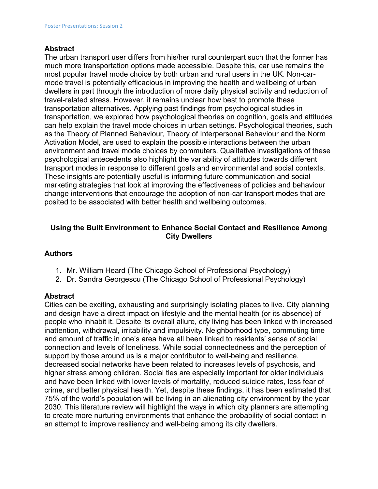#### **Abstract**

The urban transport user differs from his/her rural counterpart such that the former has much more transportation options made accessible. Despite this, car use remains the most popular travel mode choice by both urban and rural users in the UK. Non-carmode travel is potentially efficacious in improving the health and wellbeing of urban dwellers in part through the introduction of more daily physical activity and reduction of travel-related stress. However, it remains unclear how best to promote these transportation alternatives. Applying past findings from psychological studies in transportation, we explored how psychological theories on cognition, goals and attitudes can help explain the travel mode choices in urban settings. Psychological theories, such as the Theory of Planned Behaviour, Theory of Interpersonal Behaviour and the Norm Activation Model, are used to explain the possible interactions between the urban environment and travel mode choices by commuters. Qualitative investigations of these psychological antecedents also highlight the variability of attitudes towards different transport modes in response to different goals and environmental and social contexts. These insights are potentially useful is informing future communication and social marketing strategies that look at improving the effectiveness of policies and behaviour change interventions that encourage the adoption of non-car transport modes that are posited to be associated with better health and wellbeing outcomes.

# **Using the Built Environment to Enhance Social Contact and Resilience Among City Dwellers**

# **Authors**

- 1. Mr. William Heard (The Chicago School of Professional Psychology)
- 2. Dr. Sandra Georgescu (The Chicago School of Professional Psychology)

# **Abstract**

Cities can be exciting, exhausting and surprisingly isolating places to live. City planning and design have a direct impact on lifestyle and the mental health (or its absence) of people who inhabit it. Despite its overall allure, city living has been linked with increased inattention, withdrawal, irritability and impulsivity. Neighborhood type, commuting time and amount of traffic in one's area have all been linked to residents' sense of social connection and levels of loneliness. While social connectedness and the perception of support by those around us is a major contributor to well-being and resilience, decreased social networks have been related to increases levels of psychosis, and higher stress among children. Social ties are especially important for older individuals and have been linked with lower levels of mortality, reduced suicide rates, less fear of crime, and better physical health. Yet, despite these findings, it has been estimated that 75% of the world's population will be living in an alienating city environment by the year 2030. This literature review will highlight the ways in which city planners are attempting to create more nurturing environments that enhance the probability of social contact in an attempt to improve resiliency and well-being among its city dwellers.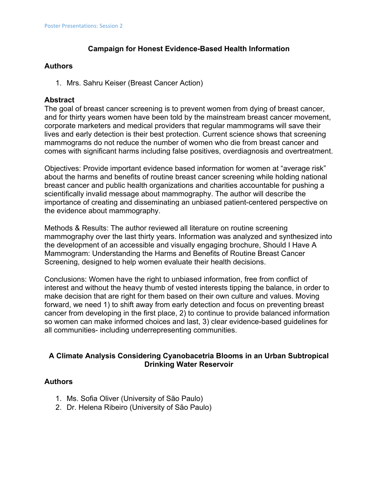# **Campaign for Honest Evidence-Based Health Information**

# **Authors**

1. Mrs. Sahru Keiser (Breast Cancer Action)

# **Abstract**

The goal of breast cancer screening is to prevent women from dying of breast cancer, and for thirty years women have been told by the mainstream breast cancer movement, corporate marketers and medical providers that regular mammograms will save their lives and early detection is their best protection. Current science shows that screening mammograms do not reduce the number of women who die from breast cancer and comes with significant harms including false positives, overdiagnosis and overtreatment.

Objectives: Provide important evidence based information for women at "average risk" about the harms and benefits of routine breast cancer screening while holding national breast cancer and public health organizations and charities accountable for pushing a scientifically invalid message about mammography. The author will describe the importance of creating and disseminating an unbiased patient-centered perspective on the evidence about mammography.

Methods & Results: The author reviewed all literature on routine screening mammography over the last thirty years. Information was analyzed and synthesized into the development of an accessible and visually engaging brochure, Should I Have A Mammogram: Understanding the Harms and Benefits of Routine Breast Cancer Screening, designed to help women evaluate their health decisions.

Conclusions: Women have the right to unbiased information, free from conflict of interest and without the heavy thumb of vested interests tipping the balance, in order to make decision that are right for them based on their own culture and values. Moving forward, we need 1) to shift away from early detection and focus on preventing breast cancer from developing in the first place, 2) to continue to provide balanced information so women can make informed choices and last, 3) clear evidence-based guidelines for all communities- including underrepresenting communities.

# **A Climate Analysis Considering Cyanobacetria Blooms in an Urban Subtropical Drinking Water Reservoir**

# **Authors**

- 1. Ms. Sofia Oliver (University of São Paulo)
- 2. Dr. Helena Ribeiro (University of São Paulo)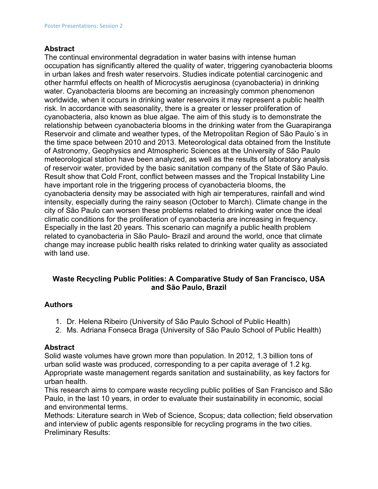#### **Abstract**

The continual environmental degradation in water basins with intense human occupation has significantly altered the quality of water, triggering cyanobacteria blooms in urban lakes and fresh water reservoirs. Studies indicate potential carcinogenic and other harmful effects on health of Microcystis aeruginosa (cyanobacteria) in drinking water. Cyanobacteria blooms are becoming an increasingly common phenomenon worldwide, when it occurs in drinking water reservoirs it may represent a public health risk. In accordance with seasonality, there is a greater or lesser proliferation of cyanobacteria, also known as blue algae. The aim of this study is to demonstrate the relationship between cyanobacteria blooms in the drinking water from the Guarapiranga Reservoir and climate and weather types, of the Metropolitan Region of São Paulo´s in the time space between 2010 and 2013. Meteorological data obtained from the Institute of Astronomy, Geophysics and Atmospheric Sciences at the University of São Paulo meteorological station have been analyzed, as well as the results of laboratory analysis of reservoir water, provided by the basic sanitation company of the State of São Paulo. Result show that Cold Front, conflict between masses and the Tropical Instability Line have important role in the triggering process of cyanobacteria blooms, the cyanobacteria density may be associated with high air temperatures, rainfall and wind intensity, especially during the rainy season (October to March). Climate change in the city of São Paulo can worsen these problems related to drinking water once the ideal climatic conditions for the proliferation of cyanobacteria are increasing in frequency. Especially in the last 20 years. This scenario can magnify a public health problem related to cyanobacteria in São Paulo- Brazil and around the world, once that climate change may increase public health risks related to drinking water quality as associated with land use.

# **Waste Recycling Public Polities: A Comparative Study of San Francisco, USA and São Paulo, Brazil**

# **Authors**

- 1. Dr. Helena Ribeiro (University of São Paulo School of Public Health)
- 2. Ms. Adriana Fonseca Braga (University of São Paulo School of Public Health)

#### **Abstract**

Solid waste volumes have grown more than population. In 2012, 1.3 billion tons of urban solid waste was produced, corresponding to a per capita average of 1.2 kg. Appropriate waste management regards sanitation and sustainability, as key factors for urban health.

This research aims to compare waste recycling public polities of San Francisco and São Paulo, in the last 10 years, in order to evaluate their sustainability in economic, social and environmental terms.

Methods: Literature search in Web of Science, Scopus; data collection; field observation and interview of public agents responsible for recycling programs in the two cities. Preliminary Results: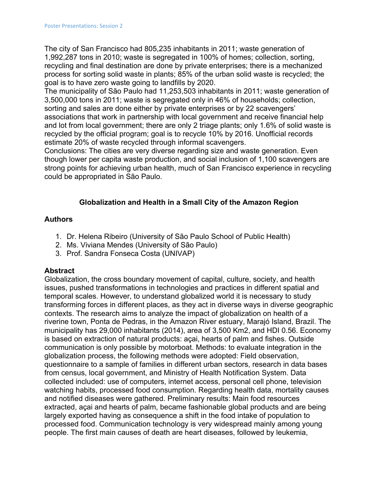The city of San Francisco had 805,235 inhabitants in 2011; waste generation of 1,992,287 tons in 2010; waste is segregated in 100% of homes; collection, sorting, recycling and final destination are done by private enterprises; there is a mechanized process for sorting solid waste in plants; 85% of the urban solid waste is recycled; the goal is to have zero waste going to landfills by 2020.

The municipality of São Paulo had 11,253,503 inhabitants in 2011; waste generation of 3,500,000 tons in 2011; waste is segregated only in 46% of households; collection, sorting and sales are done either by private enterprises or by 22 scavengers' associations that work in partnership with local government and receive financial help and lot from local government; there are only 2 triage plants; only 1.6% of solid waste is recycled by the official program; goal is to recycle 10% by 2016. Unofficial records estimate 20% of waste recycled through informal scavengers.

Conclusions: The cities are very diverse regarding size and waste generation. Even though lower per capita waste production, and social inclusion of 1,100 scavengers are strong points for achieving urban health, much of San Francisco experience in recycling could be appropriated in São Paulo.

# **Globalization and Health in a Small City of the Amazon Region**

# **Authors**

- 1. Dr. Helena Ribeiro (University of São Paulo School of Public Health)
- 2. Ms. Viviana Mendes (University of São Paulo)
- 3. Prof. Sandra Fonseca Costa (UNIVAP)

# **Abstract**

Globalization, the cross boundary movement of capital, culture, society, and health issues, pushed transformations in technologies and practices in different spatial and temporal scales. However, to understand globalized world it is necessary to study transforming forces in different places, as they act in diverse ways in diverse geographic contexts. The research aims to analyze the impact of globalization on health of a riverine town, Ponta de Pedras, in the Amazon River estuary, Marajó Island, Brazil. The municipality has 29,000 inhabitants (2014), area of 3,500 Km2, and HDI 0.56. Economy is based on extraction of natural products: açai, hearts of palm and fishes. Outside communication is only possible by motorboat. Methods: to evaluate integration in the globalization process, the following methods were adopted: Field observation, questionnaire to a sample of families in different urban sectors, research in data bases from census, local government, and Ministry of Health Notification System. Data collected included: use of computers, internet access, personal cell phone, television watching habits, processed food consumption. Regarding health data, mortality causes and notified diseases were gathered. Preliminary results: Main food resources extracted, açai and hearts of palm, became fashionable global products and are being largely exported having as consequence a shift in the food intake of population to processed food. Communication technology is very widespread mainly among young people. The first main causes of death are heart diseases, followed by leukemia,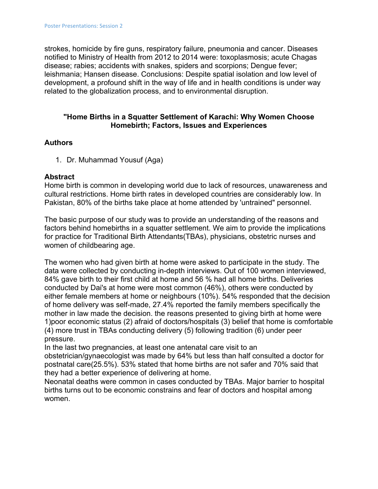strokes, homicide by fire guns, respiratory failure, pneumonia and cancer. Diseases notified to Ministry of Health from 2012 to 2014 were: toxoplasmosis; acute Chagas disease; rabies; accidents with snakes, spiders and scorpions; Dengue fever; leishmania; Hansen disease. Conclusions: Despite spatial isolation and low level of development, a profound shift in the way of life and in health conditions is under way related to the globalization process, and to environmental disruption.

#### **"Home Births in a Squatter Settlement of Karachi: Why Women Choose Homebirth; Factors, Issues and Experiences**

# **Authors**

1. Dr. Muhammad Yousuf (Aga)

# **Abstract**

Home birth is common in developing world due to lack of resources, unawareness and cultural restrictions. Home birth rates in developed countries are considerably low. In Pakistan, 80% of the births take place at home attended by 'untrained" personnel.

The basic purpose of our study was to provide an understanding of the reasons and factors behind homebirths in a squatter settlement. We aim to provide the implications for practice for Traditional Birth Attendants(TBAs), physicians, obstetric nurses and women of childbearing age.

The women who had given birth at home were asked to participate in the study. The data were collected by conducting in-depth interviews. Out of 100 women interviewed, 84% gave birth to their first child at home and 56 % had all home births. Deliveries conducted by Dai's at home were most common (46%), others were conducted by either female members at home or neighbours (10%). 54% responded that the decision of home delivery was self-made, 27.4% reported the family members specifically the mother in law made the decision. the reasons presented to giving birth at home were 1)poor economic status (2) afraid of doctors/hospitals (3) belief that home is comfortable (4) more trust in TBAs conducting delivery (5) following tradition (6) under peer pressure.

In the last two pregnancies, at least one antenatal care visit to an obstetrician/gynaecologist was made by 64% but less than half consulted a doctor for postnatal care(25.5%). 53% stated that home births are not safer and 70% said that they had a better experience of delivering at home.

Neonatal deaths were common in cases conducted by TBAs. Major barrier to hospital births turns out to be economic constrains and fear of doctors and hospital among women.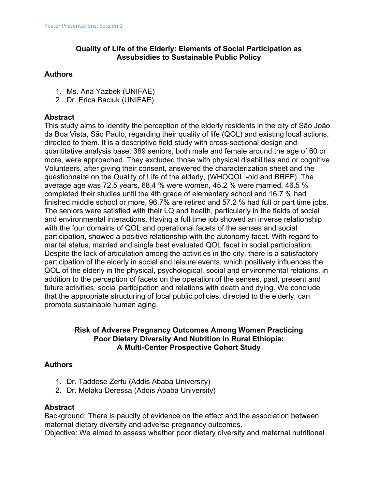# **Quality of Life of the Elderly: Elements of Social Participation as Assubsidies to Sustainable Public Policy**

#### **Authors**

- 1. Ms. Ana Yazbek (UNIFAE)
- 2. Dr. Erica Baciuk (UNIFAE)

# **Abstract**

This study aims to identify the perception of the elderly residents in the city of São João da Boa Vista, São Paulo, regarding their quality of life (QOL) and existing local actions, directed to them. It is a descriptive field study with cross-sectional design and quantitative analysis base. 389 seniors, both male and female around the age of 60 or more, were approached. They excluded those with physical disabilities and or cognitive. Volunteers, after giving their consent, answered the characterization sheet and the questionnaire on the Quality of Life of the elderly, (WHOQOL -old and BREF). The average age was 72.5 years, 68.4 % were women, 45.2 % were married, 46.5 % completed their studies until the 4th grade of elementary school and 16.7 % had finished middle school or more,  $96.7\%$  are retired and  $57.2\%$  had full or part time jobs. The seniors were satisfied with their LQ and health, particularly in the fields of social and environmental interactions. Having a full time job showed an inverse relationship with the four domains of QOL and operational facets of the senses and social participation, showed a positive relationship with the autonomy facet. With regard to marital status, married and single best evaluated QOL facet in social participation. Despite the lack of articulation among the activities in the city, there is a satisfactory participation of the elderly in social and leisure events, which positively influences the QOL of the elderly in the physical, psychological, social and environmental relations, in addition to the perception of facets on the operation of the senses, past, present and future activities, social participation and relations with death and dying. We conclude that the appropriate structuring of local public policies, directed to the elderly, can promote sustainable human aging.

# **Risk of Adverse Pregnancy Outcomes Among Women Practicing Poor Dietary Diversity And Nutrition in Rural Ethiopia: A Multi-Center Prospective Cohort Study**

# **Authors**

- 1. Dr. Taddese Zerfu (Addis Ababa University)
- 2. Dr. Melaku Deressa (Addis Ababa University)

# **Abstract**

Background: There is paucity of evidence on the effect and the association between maternal dietary diversity and adverse pregnancy outcomes.

Objective: We aimed to assess whether poor dietary diversity and maternal nutritional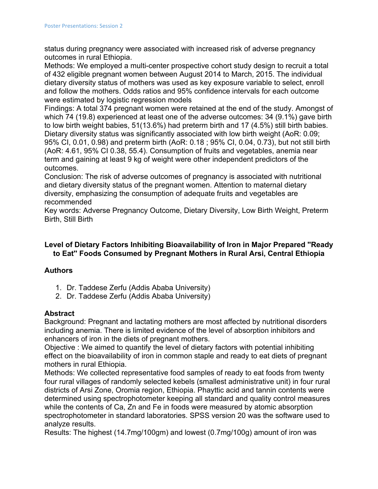status during pregnancy were associated with increased risk of adverse pregnancy outcomes in rural Ethiopia.

Methods: We employed a multi-center prospective cohort study design to recruit a total of 432 eligible pregnant women between August 2014 to March, 2015. The individual dietary diversity status of mothers was used as key exposure variable to select, enroll and follow the mothers. Odds ratios and 95% confidence intervals for each outcome were estimated by logistic regression models

Findings: A total 374 pregnant women were retained at the end of the study. Amongst of which 74 (19.8) experienced at least one of the adverse outcomes: 34 (9.1%) gave birth to low birth weight babies, 51(13.6%) had preterm birth and 17 (4.5%) still birth babies. Dietary diversity status was significantly associated with low birth weight (AoR: 0.09; 95% CI, 0.01, 0.98) and preterm birth (AoR: 0.18 ; 95% CI, 0.04, 0.73), but not still birth (AoR: 4.61, 95% CI 0.38, 55.4). Consumption of fruits and vegetables, anemia near term and gaining at least 9 kg of weight were other independent predictors of the outcomes.

Conclusion: The risk of adverse outcomes of pregnancy is associated with nutritional and dietary diversity status of the pregnant women. Attention to maternal dietary diversity, emphasizing the consumption of adequate fruits and vegetables are recommended

Key words: Adverse Pregnancy Outcome, Dietary Diversity, Low Birth Weight, Preterm Birth, Still Birth

# **Level of Dietary Factors Inhibiting Bioavailability of Iron in Major Prepared ''Ready to Eat'' Foods Consumed by Pregnant Mothers in Rural Arsi, Central Ethiopia**

# **Authors**

- 1. Dr. Taddese Zerfu (Addis Ababa University)
- 2. Dr. Taddese Zerfu (Addis Ababa University)

# **Abstract**

Background: Pregnant and lactating mothers are most affected by nutritional disorders including anemia. There is limited evidence of the level of absorption inhibitors and enhancers of iron in the diets of pregnant mothers.

Objective : We aimed to quantify the level of dietary factors with potential inhibiting effect on the bioavailability of iron in common staple and ready to eat diets of pregnant mothers in rural Ethiopia.

Methods: We collected representative food samples of ready to eat foods from twenty four rural villages of randomly selected kebels (smallest administrative unit) in four rural districts of Arsi Zone, Oromia region, Ethiopia. Phayttic acid and tannin contents were determined using spectrophotometer keeping all standard and quality control measures while the contents of Ca, Zn and Fe in foods were measured by atomic absorption spectrophotometer in standard laboratories. SPSS version 20 was the software used to analyze results.

Results: The highest (14.7mg/100gm) and lowest (0.7mg/100g) amount of iron was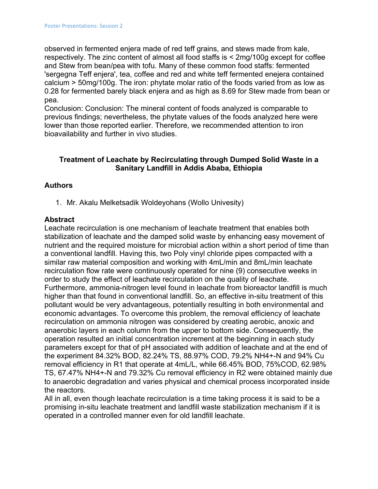observed in fermented enjera made of red teff grains, and stews made from kale, respectively. The zinc content of almost all food staffs is < 2mg/100g except for coffee and Stew from bean/pea with tofu. Many of these common food staffs: fermented 'sergegna Teff enjera', tea, coffee and red and white teff fermented enejera contained calcium > 50mg/100g. The iron: phytate molar ratio of the foods varied from as low as 0.28 for fermented barely black enjera and as high as 8.69 for Stew made from bean or pea.

Conclusion: Conclusion: The mineral content of foods analyzed is comparable to previous findings; nevertheless, the phytate values of the foods analyzed here were lower than those reported earlier. Therefore, we recommended attention to iron bioavailability and further in vivo studies.

# **Treatment of Leachate by Recirculating through Dumped Solid Waste in a Sanitary Landfill in Addis Ababa, Ethiopia**

# **Authors**

1. Mr. Akalu Melketsadik Woldeyohans (Wollo Univesity)

#### **Abstract**

Leachate recirculation is one mechanism of leachate treatment that enables both stabilization of leachate and the damped solid waste by enhancing easy movement of nutrient and the required moisture for microbial action within a short period of time than a conventional landfill. Having this, two Poly vinyl chloride pipes compacted with a similar raw material composition and working with 4mL/min and 8mL/min leachate recirculation flow rate were continuously operated for nine (9) consecutive weeks in order to study the effect of leachate recirculation on the quality of leachate. Furthermore, ammonia-nitrogen level found in leachate from bioreactor landfill is much higher than that found in conventional landfill. So, an effective in-situ treatment of this pollutant would be very advantageous, potentially resulting in both environmental and economic advantages. To overcome this problem, the removal efficiency of leachate recirculation on ammonia nitrogen was considered by creating aerobic, anoxic and anaerobic layers in each column from the upper to bottom side. Consequently, the operation resulted an initial concentration increment at the beginning in each study parameters except for that of pH associated with addition of leachate and at the end of the experiment 84.32% BOD, 82.24% TS, 88.97% COD, 79.2% NH4+-N and 94% Cu removal efficiency in R1 that operate at 4mL/L, while 66.45% BOD, 75%COD, 62.98% TS, 67.47% NH4+-N and 79.32% Cu removal efficiency in R2 were obtained mainly due to anaerobic degradation and varies physical and chemical process incorporated inside the reactors.

All in all, even though leachate recirculation is a time taking process it is said to be a promising in-situ leachate treatment and landfill waste stabilization mechanism if it is operated in a controlled manner even for old landfill leachate.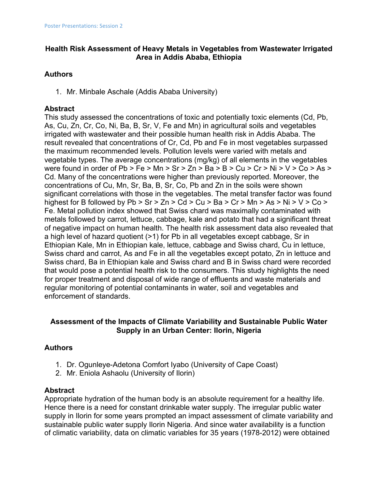# **Health Risk Assessment of Heavy Metals in Vegetables from Wastewater Irrigated Area in Addis Ababa, Ethiopia**

# **Authors**

1. Mr. Minbale Aschale (Addis Ababa University)

# **Abstract**

This study assessed the concentrations of toxic and potentially toxic elements (Cd, Pb, As, Cu, Zn, Cr, Co, Ni, Ba, B, Sr, V, Fe and Mn) in agricultural soils and vegetables irrigated with wastewater and their possible human health risk in Addis Ababa. The result revealed that concentrations of Cr, Cd, Pb and Fe in most vegetables surpassed the maximum recommended levels. Pollution levels were varied with metals and vegetable types. The average concentrations (mg/kg) of all elements in the vegetables were found in order of  $Pb > Fe > Mn > Sr > Zn > Ba > B > Cu > Cr > Ni > V > Co > As >$ Cd. Many of the concentrations were higher than previously reported. Moreover, the concentrations of Cu, Mn, Sr, Ba, B, Sr, Co, Pb and Zn in the soils were shown significant correlations with those in the vegetables. The metal transfer factor was found highest for B followed by Pb > Sr > Zn > Cd > Cu > Ba > Cr > Mn > As > Ni > V > Co > Fe. Metal pollution index showed that Swiss chard was maximally contaminated with metals followed by carrot, lettuce, cabbage, kale and potato that had a significant threat of negative impact on human health. The health risk assessment data also revealed that a high level of hazard quotient (>1) for Pb in all vegetables except cabbage, Sr in Ethiopian Kale, Mn in Ethiopian kale, lettuce, cabbage and Swiss chard, Cu in lettuce, Swiss chard and carrot, As and Fe in all the vegetables except potato, Zn in lettuce and Swiss chard, Ba in Ethiopian kale and Swiss chard and B in Swiss chard were recorded that would pose a potential health risk to the consumers. This study highlights the need for proper treatment and disposal of wide range of effluents and waste materials and regular monitoring of potential contaminants in water, soil and vegetables and enforcement of standards.

# **Assessment of the Impacts of Climate Variability and Sustainable Public Water Supply in an Urban Center: Ilorin, Nigeria**

# **Authors**

- 1. Dr. Ogunleye-Adetona Comfort Iyabo (University of Cape Coast)
- 2. Mr. Eniola Ashaolu (University of Ilorin)

# **Abstract**

Appropriate hydration of the human body is an absolute requirement for a healthy life. Hence there is a need for constant drinkable water supply. The irregular public water supply in Ilorin for some years prompted an impact assessment of climate variability and sustainable public water supply Ilorin Nigeria. And since water availability is a function of climatic variability, data on climatic variables for 35 years (1978-2012) were obtained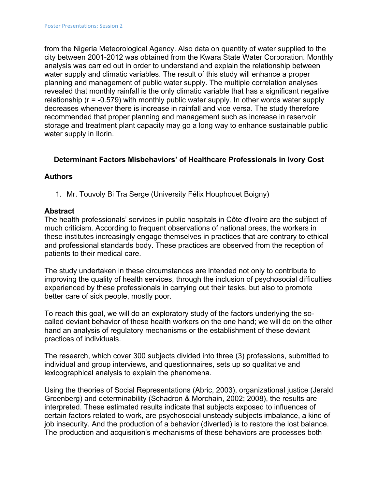from the Nigeria Meteorological Agency. Also data on quantity of water supplied to the city between 2001-2012 was obtained from the Kwara State Water Corporation. Monthly analysis was carried out in order to understand and explain the relationship between water supply and climatic variables. The result of this study will enhance a proper planning and management of public water supply. The multiple correlation analyses revealed that monthly rainfall is the only climatic variable that has a significant negative relationship (r = -0.579) with monthly public water supply. In other words water supply decreases whenever there is increase in rainfall and vice versa. The study therefore recommended that proper planning and management such as increase in reservoir storage and treatment plant capacity may go a long way to enhance sustainable public water supply in Ilorin.

# **Determinant Factors Misbehaviors' of Healthcare Professionals in Ivory Cost**

#### **Authors**

1. Mr. Touvoly Bi Tra Serge (University Félix Houphouet Boigny)

#### **Abstract**

The health professionals' services in public hospitals in Côte d'Ivoire are the subject of much criticism. According to frequent observations of national press, the workers in these institutes increasingly engage themselves in practices that are contrary to ethical and professional standards body. These practices are observed from the reception of patients to their medical care.

The study undertaken in these circumstances are intended not only to contribute to improving the quality of health services, through the inclusion of psychosocial difficulties experienced by these professionals in carrying out their tasks, but also to promote better care of sick people, mostly poor.

To reach this goal, we will do an exploratory study of the factors underlying the socalled deviant behavior of these health workers on the one hand; we will do on the other hand an analysis of regulatory mechanisms or the establishment of these deviant practices of individuals.

The research, which cover 300 subjects divided into three (3) professions, submitted to individual and group interviews, and questionnaires, sets up so qualitative and lexicographical analysis to explain the phenomena.

Using the theories of Social Representations (Abric, 2003), organizational justice (Jerald Greenberg) and determinability (Schadron & Morchain, 2002; 2008), the results are interpreted. These estimated results indicate that subjects exposed to influences of certain factors related to work, are psychosocial unsteady subjects imbalance, a kind of job insecurity. And the production of a behavior (diverted) is to restore the lost balance. The production and acquisition's mechanisms of these behaviors are processes both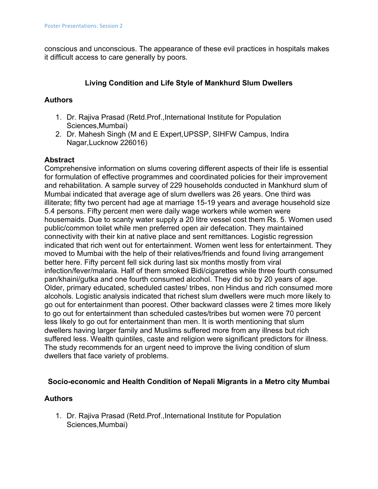conscious and unconscious. The appearance of these evil practices in hospitals makes it difficult access to care generally by poors.

# **Living Condition and Life Style of Mankhurd Slum Dwellers**

# **Authors**

- 1. Dr. Rajiva Prasad (Retd.Prof.,International Institute for Population Sciences,Mumbai)
- 2. Dr. Mahesh Singh (M and E Expert,UPSSP, SIHFW Campus, Indira Nagar,Lucknow 226016)

# **Abstract**

Comprehensive information on slums covering different aspects of their life is essential for formulation of effective programmes and coordinated policies for their improvement and rehabilitation. A sample survey of 229 households conducted in Mankhurd slum of Mumbai indicated that average age of slum dwellers was 26 years. One third was illiterate; fifty two percent had age at marriage 15-19 years and average household size 5.4 persons. Fifty percent men were daily wage workers while women were housemaids. Due to scanty water supply a 20 litre vessel cost them Rs. 5. Women used public/common toilet while men preferred open air defecation. They maintained connectivity with their kin at native place and sent remittances. Logistic regression indicated that rich went out for entertainment. Women went less for entertainment. They moved to Mumbai with the help of their relatives/friends and found living arrangement better here. Fifty percent fell sick during last six months mostly from viral infection/fever/malaria. Half of them smoked Bidi/cigarettes while three fourth consumed pan/khaini/gutka and one fourth consumed alcohol. They did so by 20 years of age. Older, primary educated, scheduled castes/ tribes, non Hindus and rich consumed more alcohols. Logistic analysis indicated that richest slum dwellers were much more likely to go out for entertainment than poorest. Other backward classes were 2 times more likely to go out for entertainment than scheduled castes/tribes but women were 70 percent less likely to go out for entertainment than men. It is worth mentioning that slum dwellers having larger family and Muslims suffered more from any illness but rich suffered less. Wealth quintiles, caste and religion were significant predictors for illness. The study recommends for an urgent need to improve the living condition of slum dwellers that face variety of problems.

# **Socio-economic and Health Condition of Nepali Migrants in a Metro city Mumbai**

# **Authors**

1. Dr. Rajiva Prasad (Retd.Prof.,International Institute for Population Sciences,Mumbai)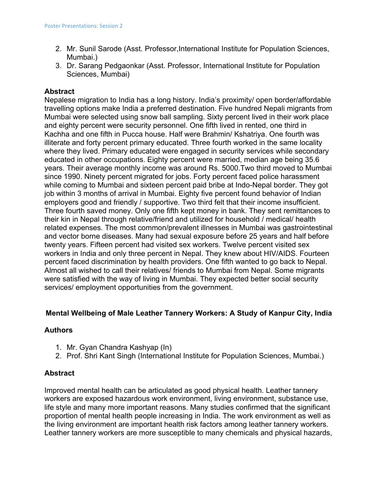- 2. Mr. Sunil Sarode (Asst. Professor,International Institute for Population Sciences, Mumbai.)
- 3. Dr. Sarang Pedgaonkar (Asst. Professor, International Institute for Population Sciences, Mumbai)

# **Abstract**

Nepalese migration to India has a long history. India's proximity/ open border/affordable travelling options make India a preferred destination. Five hundred Nepali migrants from Mumbai were selected using snow ball sampling. Sixty percent lived in their work place and eighty percent were security personnel. One fifth lived in rented, one third in Kachha and one fifth in Pucca house. Half were Brahmin/ Kshatriya. One fourth was illiterate and forty percent primary educated. Three fourth worked in the same locality where they lived. Primary educated were engaged in security services while secondary educated in other occupations. Eighty percent were married, median age being 35.6 years. Their average monthly income was around Rs. 5000.Two third moved to Mumbai since 1990. Ninety percent migrated for jobs. Forty percent faced police harassment while coming to Mumbai and sixteen percent paid bribe at Indo-Nepal border. They got job within 3 months of arrival in Mumbai. Eighty five percent found behavior of Indian employers good and friendly / supportive. Two third felt that their income insufficient. Three fourth saved money. Only one fifth kept money in bank. They sent remittances to their kin in Nepal through relative/friend and utilized for household / medical/ health related expenses. The most common/prevalent illnesses in Mumbai was gastrointestinal and vector borne diseases. Many had sexual exposure before 25 years and half before twenty years. Fifteen percent had visited sex workers. Twelve percent visited sex workers in India and only three percent in Nepal. They knew about HIV/AIDS. Fourteen percent faced discrimination by health providers. One fifth wanted to go back to Nepal. Almost all wished to call their relatives/ friends to Mumbai from Nepal. Some migrants were satisfied with the way of living in Mumbai. They expected better social security services/ employment opportunities from the government.

# **Mental Wellbeing of Male Leather Tannery Workers: A Study of Kanpur City, India**

# **Authors**

- 1. Mr. Gyan Chandra Kashyap (In)
- 2. Prof. Shri Kant Singh (International Institute for Population Sciences, Mumbai.)

# **Abstract**

Improved mental health can be articulated as good physical health. Leather tannery workers are exposed hazardous work environment, living environment, substance use, life style and many more important reasons. Many studies confirmed that the significant proportion of mental health people increasing in India. The work environment as well as the living environment are important health risk factors among leather tannery workers. Leather tannery workers are more susceptible to many chemicals and physical hazards,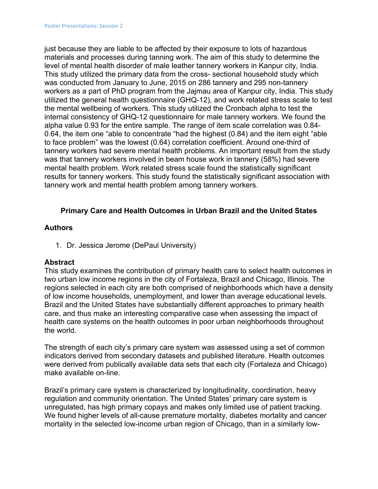just because they are liable to be affected by their exposure to lots of hazardous materials and processes during tanning work. The aim of this study to determine the level of mental health disorder of male leather tannery workers in Kanpur city, India. This study utilized the primary data from the cross- sectional household study which was conducted from January to June, 2015 on 286 tannery and 295 non-tannery workers as a part of PhD program from the Jajmau area of Kanpur city, India. This study utilized the general health questionnaire (GHQ-12), and work related stress scale to test the mental wellbeing of workers. This study utilized the Cronbach alpha to test the internal consistency of GHQ-12 questionnaire for male tannery workers. We found the alpha value 0.93 for the entire sample. The range of item scale correlation was 0.84- 0.64, the item one "able to concentrate "had the highest (0.84) and the item eight "able to face problem" was the lowest (0.64) correlation coefficient. Around one-third of tannery workers had severe mental health problems. An important result from the study was that tannery workers involved in beam house work in tannery (58%) had severe mental health problem. Work related stress scale found the statistically significant results for tannery workers. This study found the statistically significant association with tannery work and mental health problem among tannery workers.

# **Primary Care and Health Outcomes in Urban Brazil and the United States**

#### **Authors**

1. Dr. Jessica Jerome (DePaul University)

#### **Abstract**

This study examines the contribution of primary health care to select health outcomes in two urban low income regions in the city of Fortaleza, Brazil and Chicago, Illinois. The regions selected in each city are both comprised of neighborhoods which have a density of low income households, unemployment, and lower than average educational levels. Brazil and the United States have substantially different approaches to primary health care, and thus make an interesting comparative case when assessing the impact of health care systems on the health outcomes in poor urban neighborhoods throughout the world.

The strength of each city's primary care system was assessed using a set of common indicators derived from secondary datasets and published literature. Health outcomes were derived from publically available data sets that each city (Fortaleza and Chicago) make available on-line.

Brazil's primary care system is characterized by longitudinality, coordination, heavy regulation and community orientation. The United States' primary care system is unregulated, has high primary copays and makes only limited use of patient tracking. We found higher levels of all-cause premature mortality, diabetes mortality and cancer mortality in the selected low-income urban region of Chicago, than in a similarly low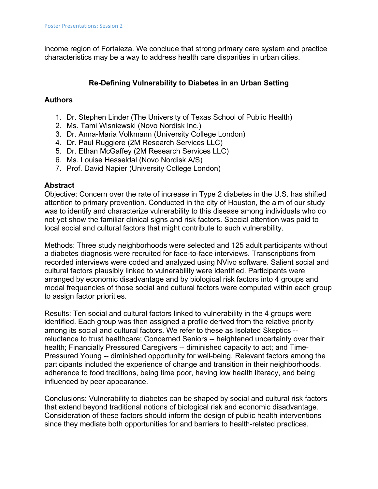income region of Fortaleza. We conclude that strong primary care system and practice characteristics may be a way to address health care disparities in urban cities.

# **Re-Defining Vulnerability to Diabetes in an Urban Setting**

# **Authors**

- 1. Dr. Stephen Linder (The University of Texas School of Public Health)
- 2. Ms. Tami Wisniewski (Novo Nordisk Inc.)
- 3. Dr. Anna-Maria Volkmann (University College London)
- 4. Dr. Paul Ruggiere (2M Research Services LLC)
- 5. Dr. Ethan McGaffey (2M Research Services LLC)
- 6. Ms. Louise Hesseldal (Novo Nordisk A/S)
- 7. Prof. David Napier (University College London)

# **Abstract**

Objective: Concern over the rate of increase in Type 2 diabetes in the U.S. has shifted attention to primary prevention. Conducted in the city of Houston, the aim of our study was to identify and characterize vulnerability to this disease among individuals who do not yet show the familiar clinical signs and risk factors. Special attention was paid to local social and cultural factors that might contribute to such vulnerability.

Methods: Three study neighborhoods were selected and 125 adult participants without a diabetes diagnosis were recruited for face-to-face interviews. Transcriptions from recorded interviews were coded and analyzed using NVivo software. Salient social and cultural factors plausibly linked to vulnerability were identified. Participants were arranged by economic disadvantage and by biological risk factors into 4 groups and modal frequencies of those social and cultural factors were computed within each group to assign factor priorities.

Results: Ten social and cultural factors linked to vulnerability in the 4 groups were identified. Each group was then assigned a profile derived from the relative priority among its social and cultural factors. We refer to these as Isolated Skeptics - reluctance to trust healthcare; Concerned Seniors -- heightened uncertainty over their health; Financially Pressured Caregivers -- diminished capacity to act; and Time-Pressured Young -- diminished opportunity for well-being. Relevant factors among the participants included the experience of change and transition in their neighborhoods, adherence to food traditions, being time poor, having low health literacy, and being influenced by peer appearance.

Conclusions: Vulnerability to diabetes can be shaped by social and cultural risk factors that extend beyond traditional notions of biological risk and economic disadvantage. Consideration of these factors should inform the design of public health interventions since they mediate both opportunities for and barriers to health-related practices.